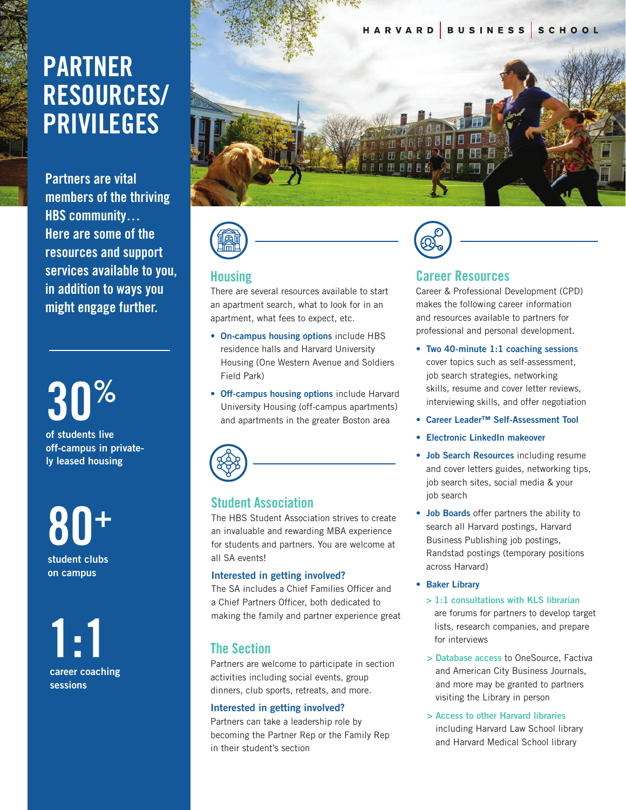# **PARTNER RESOURCES/ PRIVILEGES**

**Partners are vital members of the thriving HBS community… Here are some of the resources and support services available to you, in addition to ways you might engage further.**

**of students live** 

**off-campus in privately leased housing**

**80+ student clubs on campus**

**1:1 career coaching sessions**





#### **Housing**

There are several resources available to start an apartment search, what to look for in an apartment, what fees to expect, etc.

- **On-campus housing options** include HBS residence halls and Harvard University Housing (One Western Avenue and Soldiers Field Park)
- **Off-campus housing options** include Harvard University Housing (off-campus apartments) **30** and apartments in the greater Boston area **%**



#### **Student Association**

The HBS Student Association strives to create an invaluable and rewarding MBA experience for students and partners. You are welcome at all SA events!

#### **Interested in getting involved?**

The SA includes a Chief Families Officer and a Chief Partners Officer, both dedicated to making the family and partner experience great

# **The Section**

Partners are welcome to participate in section activities including social events, group dinners, club sports, retreats, and more.

#### **Interested in getting involved?**

Partners can take a leadership role by becoming the Partner Rep or the Family Rep in their student's section



#### **Career Resources**

Career & Professional Development (CPD) makes the following career information and resources available to partners for professional and personal development.

- **Two 40-minute 1:1 coaching sessions** cover topics such as self-assessment, job search strategies, networking skills, resume and cover letter reviews, interviewing skills, and offer negotiation
- **Career Leader™ Self-Assessment Tool**
- **Electronic LinkedIn makeover**
- **Job Search Resources** including resume and cover letters guides, networking tips, job search sites, social media & your job search
- **Job Boards** offer partners the ability to search all Harvard postings, Harvard Business Publishing job postings, Randstad postings (temporary positions across Harvard)
- **Baker Library**
	- **> 1:1 consultations with KLS librarian**  are forums for partners to develop target lists, research companies, and prepare for interviews
	- **> Database access** to OneSource, Factiva and American City Business Journals, and more may be granted to partners visiting the Library in person
	- **> Access to other Harvard libraries**  including Harvard Law School library and Harvard Medical School library